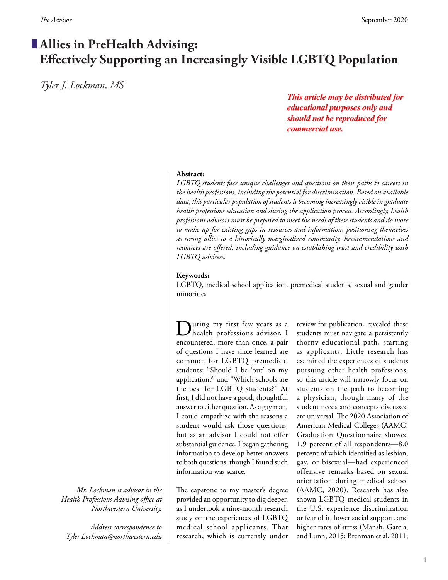# **Allies in PreHealth Advising: Effectively Supporting an Increasingly Visible LGBTQ Population**

*Tyler J. Lockman, MS*

*This article may be distributed for educational purposes only and should not be reproduced for commercial use.*

### **Abstract:**

*LGBTQ students face unique challenges and questions on their paths to careers in the health professions, including the potential for discrimination. Based on available data, this particular population of students is becoming increasingly visible in graduate health professions education and during the application process. Accordingly, health professions advisors must be prepared to meet the needs of these students and do more*  to make up for existing gaps in resources and information, positioning themselves *as strong allies to a historically marginalized community. Recommendations and resources are offered, including guidance on establishing trust and credibility with LGBTQ advisees.*

## **Keywords:**

LGBTQ, medical school application, premedical students, sexual and gender minorities

During my first few years as a health professions advisor, I encountered, more than once, a pair of questions I have since learned are common for LGBTQ premedical students: "Should I be 'out' on my application?" and "Which schools are the best for LGBTQ students?" At first, I did not have a good, thoughtful answer to either question. As a gay man, I could empathize with the reasons a student would ask those questions, but as an advisor I could not offer substantial guidance. I began gathering information to develop better answers to both questions, though I found such information was scarce.

The capstone to my master's degree provided an opportunity to dig deeper, as I undertook a nine-month research study on the experiences of LGBTQ medical school applicants. That research, which is currently under

review for publication, revealed these students must navigate a persistently thorny educational path, starting as applicants. Little research has examined the experiences of students pursuing other health professions, so this article will narrowly focus on students on the path to becoming a physician, though many of the student needs and concepts discussed are universal. The 2020 Association of American Medical Colleges (AAMC) Graduation Questionnaire showed 1.9 percent of all respondents—8.0 percent of which identified as lesbian, gay, or bisexual—had experienced offensive remarks based on sexual orientation during medical school (AAMC, 2020). Research has also shown LGBTQ medical students in the U.S. experience discrimination or fear of it, lower social support, and higher rates of stress (Mansh, Garcia, and Lunn, 2015; Brenman et al, 2011;

*Mr. Lockman is advisor in the Health Professions Advising office at Northwestern University.* 

*Address correspondence to Tyler.Lockman@northwestern.edu*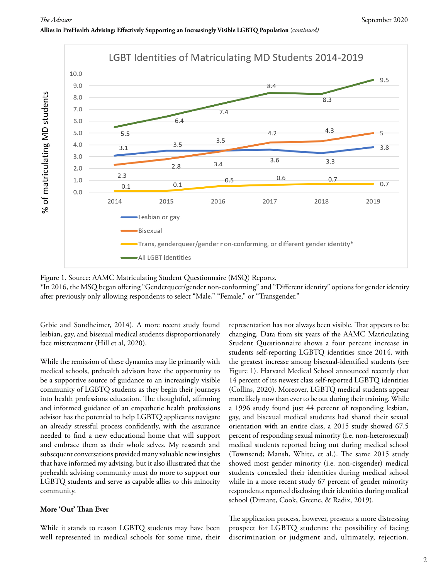



Figure 1. Source: AAMC Matriculating Student Questionnaire (MSQ) Reports.

\*In 2016, the MSQ began offering "Genderqueer/gender non-conforming" and "Different identity" options for gender identity after previously only allowing respondents to select "Male," "Female," or "Transgender."

Grbic and Sondheimer, 2014). A more recent study found lesbian, gay, and bisexual medical students disproportionately face mistreatment (Hill et al, 2020).

While the remission of these dynamics may lie primarily with medical schools, prehealth advisors have the opportunity to be a supportive source of guidance to an increasingly visible community of LGBTQ students as they begin their journeys into health professions education. The thoughtful, affirming and informed guidance of an empathetic health professions advisor has the potential to help LGBTQ applicants navigate an already stressful process confidently, with the assurance needed to find a new educational home that will support and embrace them as their whole selves. My research and subsequent conversations provided many valuable new insights that have informed my advising, but it also illustrated that the prehealth advising community must do more to support our LGBTQ students and serve as capable allies to this minority community.

### **More 'Out' Than Ever**

While it stands to reason LGBTQ students may have been well represented in medical schools for some time, their representation has not always been visible. That appears to be changing. Data from six years of the AAMC Matriculating Student Questionnaire shows a four percent increase in students self-reporting LGBTQ identities since 2014, with the greatest increase among bisexual-identified students (see Figure 1). Harvard Medical School announced recently that 14 percent of its newest class self-reported LGBTQ identities (Collins, 2020). Moreover, LGBTQ medical students appear more likely now than ever to be out during their training. While a 1996 study found just 44 percent of responding lesbian, gay, and bisexual medical students had shared their sexual orientation with an entire class, a 2015 study showed 67.5 percent of responding sexual minority (i.e. non-heterosexual) medical students reported being out during medical school (Townsend; Mansh, White, et al.). The same 2015 study showed most gender minority (i.e. non-cisgender) medical students concealed their identities during medical school while in a more recent study 67 percent of gender minority respondents reported disclosing their identities during medical school (Dimant, Cook, Greene, & Radix, 2019).

The application process, however, presents a more distressing prospect for LGBTQ students: the possibility of facing discrimination or judgment and, ultimately, rejection.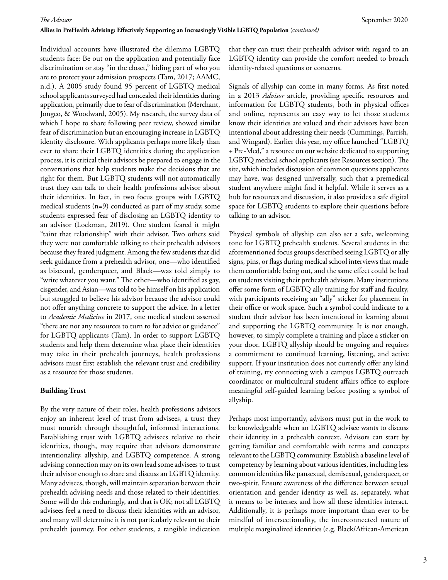#### **Allies in PreHealth Advising: Effectively Supporting an Increasingly Visible LGBTQ Population** (c*ontinued)*

Individual accounts have illustrated the dilemma LGBTQ students face: Be out on the application and potentially face discrimination or stay "in the closet," hiding part of who you are to protect your admission prospects (Tam, 2017; AAMC, n.d.). A 2005 study found 95 percent of LGBTQ medical school applicants surveyed had concealed their identities during application, primarily due to fear of discrimination (Merchant, Jongco, & Woodward, 2005). My research, the survey data of which I hope to share following peer review, showed similar fear of discrimination but an encouraging increase in LGBTQ identity disclosure. With applicants perhaps more likely than ever to share their LGBTQ identities during the application process, it is critical their advisors be prepared to engage in the conversations that help students make the decisions that are right for them. But LGBTQ students will not automatically trust they can talk to their health professions advisor about their identities. In fact, in two focus groups with LGBTQ medical students (n=9) conducted as part of my study, some students expressed fear of disclosing an LGBTQ identity to an advisor (Lockman, 2019). One student feared it might "taint that relationship" with their advisor. Two others said they were not comfortable talking to their prehealth advisors because they feared judgment. Among the few students that did seek guidance from a prehealth advisor, one—who identified as bisexual, genderqueer, and Black—was told simply to "write whatever you want." The other—who identified as gay, cisgender, and Asian—was told to be himself on his application but struggled to believe his advisor because the advisor could not offer anything concrete to support the advice. In a letter to *Academic Medicine* in 2017, one medical student asserted "there are not any resources to turn to for advice or guidance" for LGBTQ applicants (Tam). In order to support LGBTQ students and help them determine what place their identities may take in their prehealth journeys, health professions advisors must first establish the relevant trust and credibility as a resource for those students.

#### **Building Trust**

By the very nature of their roles, health professions advisors enjoy an inherent level of trust from advisees, a trust they must nourish through thoughtful, informed interactions. Establishing trust with LGBTQ advisees relative to their identities, though, may require that advisors demonstrate intentionality, allyship, and LGBTQ competence. A strong advising connection may on its own lead some advisees to trust their advisor enough to share and discuss an LGBTQ identity. Many advisees, though, will maintain separation between their prehealth advising needs and those related to their identities. Some will do this enduringly, and that is OK; not all LGBTQ advisees feel a need to discuss their identities with an advisor, and many will determine it is not particularly relevant to their prehealth journey. For other students, a tangible indication

that they can trust their prehealth advisor with regard to an LGBTQ identity can provide the comfort needed to broach identity-related questions or concerns.

Signals of allyship can come in many forms. As first noted in a 2013 *Advisor* article, providing specific resources and information for LGBTQ students, both in physical offices and online, represents an easy way to let those students know their identities are valued and their advisors have been intentional about addressing their needs (Cummings, Parrish, and Wingard). Earlier this year, my office launched "LGBTQ + Pre-Med," a resource on our website dedicated to supporting LGBTQ medical school applicants (see Resources section). The site, which includes discussion of common questions applicants may have, was designed universally, such that a premedical student anywhere might find it helpful. While it serves as a hub for resources and discussion, it also provides a safe digital space for LGBTQ students to explore their questions before talking to an advisor.

Physical symbols of allyship can also set a safe, welcoming tone for LGBTQ prehealth students. Several students in the aforementioned focus groups described seeing LGBTQ or ally signs, pins, or flags during medical school interviews that made them comfortable being out, and the same effect could be had on students visiting their prehealth advisors. Many institutions offer some form of LGBTQ ally training for staff and faculty, with participants receiving an "ally" sticker for placement in their office or work space. Such a symbol could indicate to a student their advisor has been intentional in learning about and supporting the LGBTQ community. It is not enough, however, to simply complete a training and place a sticker on your door. LGBTQ allyship should be ongoing and requires a commitment to continued learning, listening, and active support. If your institution does not currently offer any kind of training, try connecting with a campus LGBTQ outreach coordinator or multicultural student affairs office to explore meaningful self-guided learning before posting a symbol of allyship.

Perhaps most importantly, advisors must put in the work to be knowledgeable when an LGBTQ advisee wants to discuss their identity in a prehealth context. Advisors can start by getting familiar and comfortable with terms and concepts relevant to the LGBTQ community. Establish a baseline level of competency by learning about various identities, including less common identities like pansexual, demisexual, genderqueer, or two-spirit. Ensure awareness of the difference between sexual orientation and gender identity as well as, separately, what it means to be intersex and how all these identities interact. Additionally, it is perhaps more important than ever to be mindful of intersectionality, the interconnected nature of multiple marginalized identities (e.g. Black/African-American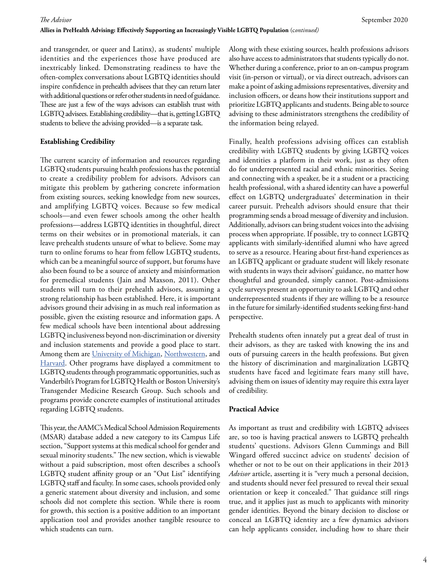and transgender, or queer and Latinx), as students' multiple identities and the experiences those have produced are inextricably linked. Demonstrating readiness to have the often-complex conversations about LGBTQ identities should inspire confidence in prehealth advisees that they can return later with additional questions or refer other students in need of guidance. These are just a few of the ways advisors can establish trust with LGBTQ advisees. Establishing credibility—that is, getting LGBTQ students to believe the advising provided—is a separate task.

### **Establishing Credibility**

The current scarcity of information and resources regarding LGBTQ students pursuing health professions has the potential to create a credibility problem for advisors. Advisors can mitigate this problem by gathering concrete information from existing sources, seeking knowledge from new sources, and amplifying LGBTQ voices. Because so few medical schools—and even fewer schools among the other health professions—address LGBTQ identities in thoughtful, direct terms on their websites or in promotional materials, it can leave prehealth students unsure of what to believe. Some may turn to online forums to hear from fellow LGBTQ students, which can be a meaningful source of support, but forums have also been found to be a source of anxiety and misinformation for premedical students (Jain and Maxson, 2011). Other students will turn to their prehealth advisors, assuming a strong relationship has been established. Here, it is important advisors ground their advising in as much real information as possible, given the existing resource and information gaps. A few medical schools have been intentional about addressing LGBTQ inclusiveness beyond non-discrimination or diversity and inclusion statements and provide a good place to start. Among them are University of Michigan, Northwestern, and Harvard. Other programs have displayed a commitment to LGBTQ students through programmatic opportunities, such as Vanderbilt's Program for LGBTQ Health or Boston University's Transgender Medicine Research Group. Such schools and programs provide concrete examples of institutional attitudes regarding LGBTQ students.

This year, the AAMC's Medical School Admission Requirements (MSAR) database added a new category to its Campus Life section, "Support systems at this medical school for gender and sexual minority students." The new section, which is viewable without a paid subscription, most often describes a school's LGBTQ student affinity group or an "Out List" identifying LGBTQ staff and faculty. In some cases, schools provided only a generic statement about diversity and inclusion, and some schools did not complete this section. While there is room for growth, this section is a positive addition to an important application tool and provides another tangible resource to which students can turn.

Along with these existing sources, health professions advisors also have access to administrators that students typically do not. Whether during a conference, prior to an on-campus program visit (in-person or virtual), or via direct outreach, advisors can make a point of asking admissions representatives, diversity and inclusion officers, or deans how their institutions support and prioritize LGBTQ applicants and students. Being able to source advising to these administrators strengthens the credibility of the information being relayed.

Finally, health professions advising offices can establish credibility with LGBTQ students by giving LGBTQ voices and identities a platform in their work, just as they often do for underrepresented racial and ethnic minorities. Seeing and connecting with a speaker, be it a student or a practicing health professional, with a shared identity can have a powerful effect on LGBTQ undergraduates' determination in their career pursuit. Prehealth advisors should ensure that their programming sends a broad message of diversity and inclusion. Additionally, advisors can bring student voices into the advising process when appropriate. If possible, try to connect LGBTQ applicants with similarly-identified alumni who have agreed to serve as a resource. Hearing about first-hand experiences as an LGBTQ applicant or graduate student will likely resonate with students in ways their advisors' guidance, no matter how thoughtful and grounded, simply cannot. Post-admissions cycle surveys present an opportunity to ask LGBTQ and other underrepresented students if they are willing to be a resource in the future for similarly-identified students seeking first-hand perspective.

Prehealth students often innately put a great deal of trust in their advisors, as they are tasked with knowing the ins and outs of pursuing careers in the health professions. But given the history of discrimination and marginalization LGBTQ students have faced and legitimate fears many still have, advising them on issues of identity may require this extra layer of credibility.

### **Practical Advice**

As important as trust and credibility with LGBTQ advisees are, so too is having practical answers to LGBTQ prehealth students' questions. Advisors Glenn Cummings and Bill Wingard offered succinct advice on students' decision of whether or not to be out on their applications in their 2013 *Advisor* article, asserting it is "very much a personal decision, and students should never feel pressured to reveal their sexual orientation or keep it concealed." That guidance still rings true, and it applies just as much to applicants with minority gender identities. Beyond the binary decision to disclose or conceal an LGBTQ identity are a few dynamics advisors can help applicants consider, including how to share their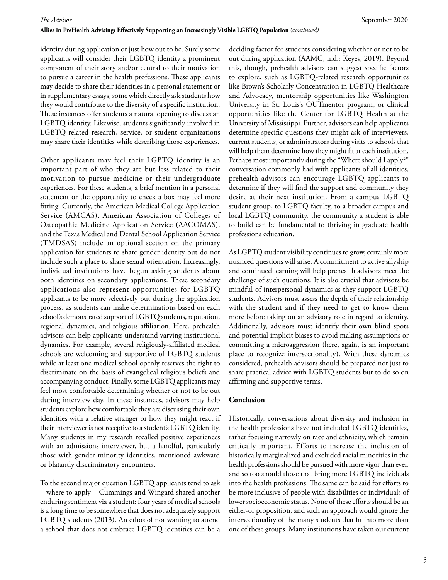identity during application or just how out to be. Surely some applicants will consider their LGBTQ identity a prominent component of their story and/or central to their motivation to pursue a career in the health professions. These applicants may decide to share their identities in a personal statement or in supplementary essays, some which directly ask students how they would contribute to the diversity of a specific institution. These instances offer students a natural opening to discuss an LGBTQ identity. Likewise, students significantly involved in LGBTQ-related research, service, or student organizations may share their identities while describing those experiences.

Other applicants may feel their LGBTQ identity is an important part of who they are but less related to their motivation to pursue medicine or their undergraduate experiences. For these students, a brief mention in a personal statement or the opportunity to check a box may feel more fitting. Currently, the American Medical College Application Service (AMCAS), American Association of Colleges of Osteopathic Medicine Application Service (AACOMAS), and the Texas Medical and Dental School Application Service (TMDSAS) include an optional section on the primary application for students to share gender identity but do not include such a place to share sexual orientation. Increasingly, individual institutions have begun asking students about both identities on secondary applications. These secondary applications also represent opportunities for LGBTQ applicants to be more selectively out during the application process, as students can make determinations based on each school's demonstrated support of LGBTQ students, reputation, regional dynamics, and religious affiliation. Here, prehealth advisors can help applicants understand varying institutional dynamics. For example, several religiously-affiliated medical schools are welcoming and supportive of LGBTQ students while at least one medical school openly reserves the right to discriminate on the basis of evangelical religious beliefs and accompanying conduct. Finally, some LGBTQ applicants may feel most comfortable determining whether or not to be out during interview day. In these instances, advisors may help students explore how comfortable they are discussing their own identities with a relative stranger or how they might react if their interviewer is not receptive to a student's LGBTQ identity. Many students in my research recalled positive experiences with an admissions interviewer, but a handful, particularly those with gender minority identities, mentioned awkward or blatantly discriminatory encounters.

To the second major question LGBTQ applicants tend to ask – where to apply – Cummings and Wingard shared another enduring sentiment via a student: four years of medical schools is a long time to be somewhere that does not adequately support LGBTQ students (2013). An ethos of not wanting to attend a school that does not embrace LGBTQ identities can be a

deciding factor for students considering whether or not to be out during application (AAMC, n.d.; Keyes, 2019). Beyond this, though, prehealth advisors can suggest specific factors to explore, such as LGBTQ-related research opportunities like Brown's Scholarly Concentration in LGBTQ Healthcare and Advocacy, mentorship opportunities like Washington University in St. Louis's OUTmentor program, or clinical opportunities like the Center for LGBTQ Health at the University of Mississippi. Further, advisors can help applicants determine specific questions they might ask of interviewers, current students, or administrators during visits to schools that will help them determine how they might fit at each institution. Perhaps most importantly during the "Where should I apply?" conversation commonly had with applicants of all identities, prehealth advisors can encourage LGBTQ applicants to determine if they will find the support and community they desire at their next institution. From a campus LGBTQ student group, to LGBTQ faculty, to a broader campus and local LGBTQ community, the community a student is able to build can be fundamental to thriving in graduate health professions education.

As LGBTQ student visibility continues to grow, certainly more nuanced questions will arise. A commitment to active allyship and continued learning will help prehealth advisors meet the challenge of such questions. It is also crucial that advisors be mindful of interpersonal dynamics as they support LGBTQ students. Advisors must assess the depth of their relationship with the student and if they need to get to know them more before taking on an advisory role in regard to identity. Additionally, advisors must identify their own blind spots and potential implicit biases to avoid making assumptions or committing a microaggression (here, again, is an important place to recognize intersectionality). With these dynamics considered, prehealth advisors should be prepared not just to share practical advice with LGBTQ students but to do so on affirming and supportive terms.

#### **Conclusion**

Historically, conversations about diversity and inclusion in the health professions have not included LGBTQ identities, rather focusing narrowly on race and ethnicity, which remain critically important. Efforts to increase the inclusion of historically marginalized and excluded racial minorities in the health professions should be pursued with more vigor than ever, and so too should those that bring more LGBTQ individuals into the health professions. The same can be said for efforts to be more inclusive of people with disabilities or individuals of lower socioeconomic status. None of these efforts should be an either-or proposition, and such an approach would ignore the intersectionality of the many students that fit into more than one of these groups. Many institutions have taken our current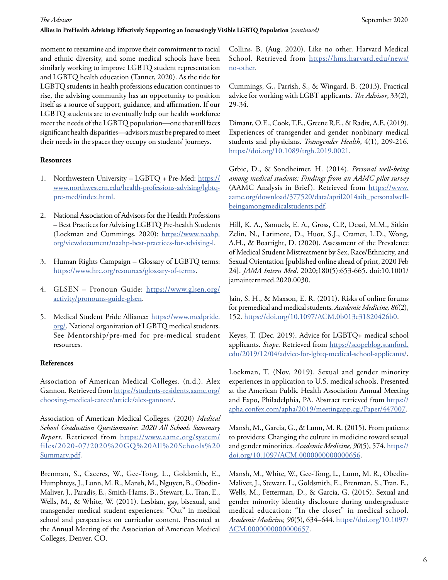#### **Allies in PreHealth Advising: Effectively Supporting an Increasingly Visible LGBTQ Population** (c*ontinued)*

moment to reexamine and improve their commitment to racial and ethnic diversity, and some medical schools have been similarly working to improve LGBTQ student representation and LGBTQ health education (Tanner, 2020). As the tide for LGBTQ students in health professions education continues to rise, the advising community has an opportunity to position itself as a source of support, guidance, and affirmation. If our LGBTQ students are to eventually help our health workforce meet the needs of the LGBTQ population—one that still faces significant health disparities—advisors must be prepared to meet their needs in the spaces they occupy on students' journeys.

### **Resources**

- 1. Northwestern University LGBTQ + Pre-Med: https:// www.northwestern.edu/health-professions-advising/lgbtqpre-med/index.html.
- 2. National Association of Advisors for the Health Professions – Best Practices for Advising LGBTQ Pre-health Students (Lockman and Cummings, 2020): https://www.naahp. org/viewdocument/naahp-best-practices-for-advising-l.
- 3. Human Rights Campaign Glossary of LGBTQ terms: https://www.hrc.org/resources/glossary-of-terms.
- 4. GLSEN Pronoun Guide: https://www.glsen.org/ activity/pronouns-guide-glsen.
- 5. Medical Student Pride Alliance: https://www.medpride. org/. National organization of LGBTQ medical students. See Mentorship/pre-med for pre-medical student resources.

### **References**

Association of American Medical Colleges. (n.d.). Alex Gannon. Retrieved from https://students-residents.aamc.org/ choosing-medical-career/article/alex-gannon/.

Association of American Medical Colleges. (2020) *Medical School Graduation Questionnaire: 2020 All Schools Summary Report*. Retrieved from https://www.aamc.org/system/ files/2020-07/2020%20GQ%20All%20Schools%20 Summary.pdf.

Brenman, S., Caceres, W., Gee-Tong, L., Goldsmith, E., Humphreys, J., Lunn, M. R., Mansh, M., Nguyen, B., Obedin-Maliver, J., Paradis, E., Smith-Hams, B., Stewart, L., Tran, E., Wells, M., & White, W. (2011). Lesbian, gay, bisexual, and transgender medical student experiences: "Out" in medical school and perspectives on curricular content. Presented at the Annual Meeting of the Association of American Medical Colleges, Denver, CO.

Collins, B. (Aug. 2020). Like no other. Harvard Medical School. Retrieved from https://hms.harvard.edu/news/ no-other.

Cummings, G., Parrish, S., & Wingard, B. (2013). Practical advice for working with LGBT applicants. *The Advisor*, 33(2), 29-34.

Dimant, O.E., Cook, T.E., Greene R.E., & Radix, A.E. (2019). Experiences of transgender and gender nonbinary medical students and physicians. *Transgender Health*, 4(1), 209-216. https://doi.org/10.1089/trgh.2019.0021.

Grbic, D., & Sondheimer, H. (2014). *Personal well-being among medical students: Findings from an AAMC pilot survey*  (AAMC Analysis in Brief). Retrieved from https://www. aamc.org/download/377520/data/april2014aib\_personalwellbeingamongmedicalstudents.pdf.

Hill, K. A., Samuels, E. A., Gross, C.P., Desai, M.M., Sitkin Zelin, N., Latimore, D., Huot, S.J., Cramer, L.D., Wong, A.H., & Boatright, D. (2020). Assessment of the Prevalence of Medical Student Mistreatment by Sex, Race/Ethnicity, and Sexual Orientation [published online ahead of print, 2020 Feb 24]. *JAMA Intern Med*. 2020;180(5):653-665. doi:10.1001/ jamainternmed.2020.0030.

Jain, S. H., & Maxson, E. R. (2011). Risks of online forums for premedical and medical students. *Academic Medicine, 86*(2), 152. https://doi.org/10.1097/ACM.0b013e31820426b0.

Keyes, T. (Dec. 2019). Advice for LGBTQ+ medical school applicants. *Scope*. Retrieved from https://scopeblog.stanford. edu/2019/12/04/advice-for-lgbtq-medical-school-applicants/.

Lockman, T. (Nov. 2019). Sexual and gender minority experiences in application to U.S. medical schools. Presented at the American Public Health Association Annual Meeting and Expo, Philadelphia, PA. Abstract retrieved from https:// apha.confex.com/apha/2019/meetingapp.cgi/Paper/447007.

Mansh, M., Garcia, G., & Lunn, M. R. (2015). From patients to providers: Changing the culture in medicine toward sexual and gender minorities. *Academic Medicine, 90*(5), 574. https:// doi.org/10.1097/ACM.0000000000000656.

Mansh, M., White, W., Gee-Tong, L., Lunn, M. R., Obedin-Maliver, J., Stewart, L., Goldsmith, E., Brenman, S., Tran, E., Wells, M., Fetterman, D., & Garcia, G. (2015). Sexual and gender minority identity disclosure during undergraduate medical education: "In the closet" in medical school. *Academic Medicine, 90*(5), 634–644. https://doi.org/10.1097/ ACM.0000000000000657.